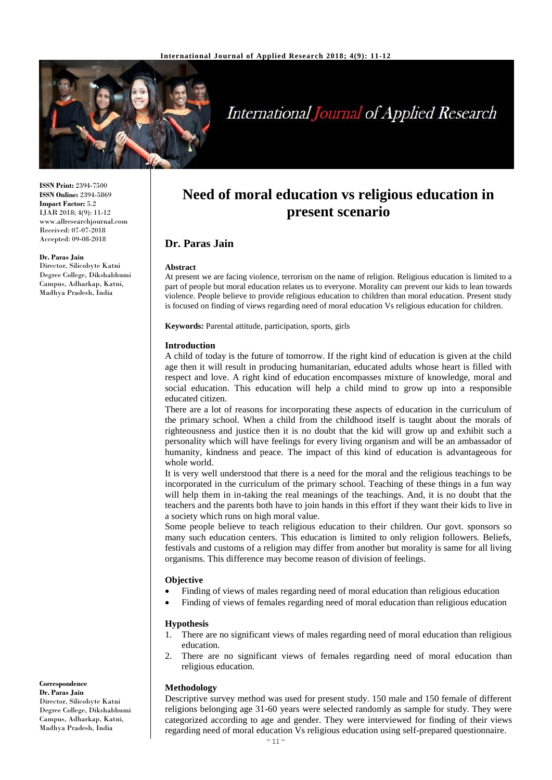

# **International Journal of Applied Research**

**ISSN Print:** 2394-7500 **ISSN Online:** 2394-5869 **Impact Factor:** 5.2 IJAR 2018; 4(9): 11-12 www.allresearchjournal.com Received: 07-07-2018 Accepted: 09-08-2018

#### **Dr. Paras Jain**

Director, Silicobyte Katni Degree College, Dikshabhumi Campus, Adharkap, Katni, Madhya Pradesh, India

# **Need of moral education vs religious education in present scenario**

# **Dr. Paras Jain**

#### **Abstract**

At present we are facing violence, terrorism on the name of religion. Religious education is limited to a part of people but moral education relates us to everyone. Morality can prevent our kids to lean towards violence. People believe to provide religious education to children than moral education. Present study is focused on finding of views regarding need of moral education Vs religious education for children.

**Keywords:** Parental attitude, participation, sports, girls

#### **Introduction**

A child of today is the future of tomorrow. If the right kind of education is given at the child age then it will result in producing humanitarian, educated adults whose heart is filled with respect and love. A right kind of education encompasses mixture of knowledge, moral and social education. This education will help a child mind to grow up into a responsible educated citizen.

There are a lot of reasons for incorporating these aspects of education in the curriculum of the primary school. When a child from the childhood itself is taught about the morals of righteousness and justice then it is no doubt that the kid will grow up and exhibit such a personality which will have feelings for every living organism and will be an ambassador of humanity, kindness and peace. The impact of this kind of education is advantageous for whole world.

It is very well understood that there is a need for the moral and the religious teachings to be incorporated in the curriculum of the primary school. Teaching of these things in a fun way will help them in in-taking the real meanings of the teachings. And, it is no doubt that the teachers and the parents both have to join hands in this effort if they want their kids to live in a society which runs on high moral value.

Some people believe to teach religious education to their children. Our govt. sponsors so many such education centers. This education is limited to only religion followers. Beliefs, festivals and customs of a religion may differ from another but morality is same for all living organisms. This difference may become reason of division of feelings.

#### **Objective**

- Finding of views of males regarding need of moral education than religious education
- Finding of views of females regarding need of moral education than religious education

#### **Hypothesis**

- 1. There are no significant views of males regarding need of moral education than religious education.
- 2. There are no significant views of females regarding need of moral education than religious education.

#### **Methodology**

Descriptive survey method was used for present study. 150 male and 150 female of different religions belonging age 31-60 years were selected randomly as sample for study. They were categorized according to age and gender. They were interviewed for finding of their views regarding need of moral education Vs religious education using self-prepared questionnaire.

**Dr. Paras Jain** Director, Silicobyte Katni Degree College, Dikshabhumi Campus, Adharkap, Katni,

Madhya Pradesh, India

**Correspondence**